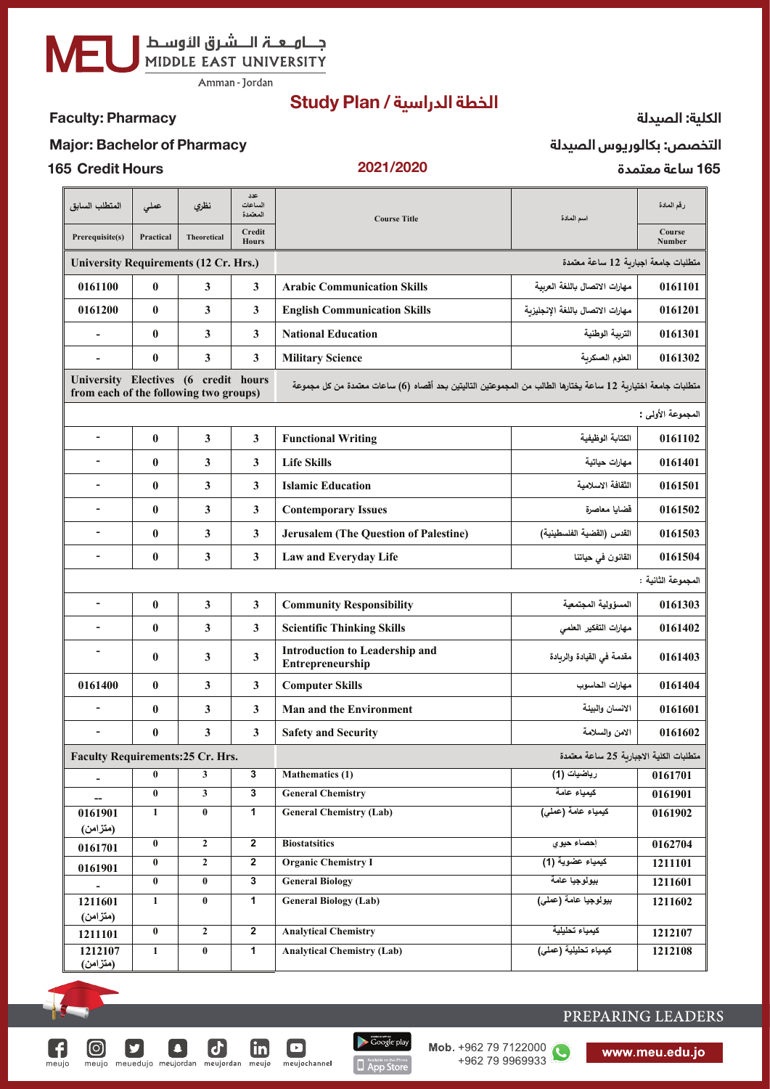جـــامــعـــة الــــشـرق الأوســط<br>MIDDLE EAST UNIVERSITY

Amman - Jordan

# الخطة الدراسية / Study Plan

## **Faculty: Pharmacy**

#### الكلية: الصيدلة

#### **Major: Bachelor of Pharmacy**

**165 Credit Hours** 

 $\Theta$ 

V

F

meujo

 $\boldsymbol{\mathsf{d}}$ 

 $\blacksquare$ 

meujochannel

<u>in</u>

 $\vert$ 

meujo meuedujo meujordan meujordan meujo

#### 2021/2020

التخصص: بكالوريوس الصيدلة 165 ساعة معتمدة

| المتطلب السابق                                                                 | عملى             | نظري                    | عدد<br>الساعات<br>المعتمدة | <b>Course Title</b>                                                                                           | اسم المادة                              | رقم المادة         |  |  |
|--------------------------------------------------------------------------------|------------------|-------------------------|----------------------------|---------------------------------------------------------------------------------------------------------------|-----------------------------------------|--------------------|--|--|
| Prerequisite(s)                                                                | Practical        | <b>Theoretical</b>      | Credit<br><b>Hours</b>     |                                                                                                               |                                         | Course<br>Number   |  |  |
| <b>University Requirements (12 Cr. Hrs.)</b>                                   |                  |                         |                            | متطلبات جامعة اجبارية 12 ساعة معتمدة                                                                          |                                         |                    |  |  |
| 0161100                                                                        | $\bf{0}$         | 3                       | 3                          | <b>Arabic Communication Skills</b>                                                                            | مهارات الاتصال باللغة العربية           | 0161101            |  |  |
| 0161200                                                                        | $\bf{0}$         | 3                       | 3                          | <b>English Communication Skills</b>                                                                           | مهارات الاتصال باللغة الإنجليزبة        | 0161201            |  |  |
| $\overline{\phantom{m}}$                                                       | $\bf{0}$         | 3                       | 3                          | <b>National Education</b>                                                                                     | التربية الوطنية                         | 0161301            |  |  |
| $\overline{a}$                                                                 | $\bf{0}$         | 3                       | 3                          | <b>Military Science</b>                                                                                       | العلوم العسكرية                         | 0161302            |  |  |
| University Electives (6 credit hours<br>from each of the following two groups) |                  |                         |                            | متطلبات جامعة اختيارية 12 ساعة يختارها الطالب من المجموعتين التاليتين بحد أقصاه (6) ساعات معتمدة من كل مجموعة |                                         |                    |  |  |
| المجموعة الأولى :                                                              |                  |                         |                            |                                                                                                               |                                         |                    |  |  |
| $\overline{\phantom{0}}$                                                       | $\bf{0}$         | 3                       | $\mathbf{3}$               | <b>Functional Writing</b>                                                                                     | الكتابة الوظيفية                        | 0161102            |  |  |
|                                                                                | $\bf{0}$         | 3                       | 3                          | <b>Life Skills</b>                                                                                            | مهارات حياتية                           | 0161401            |  |  |
|                                                                                | $\bf{0}$         | $\overline{\mathbf{3}}$ | 3                          | <b>Islamic Education</b>                                                                                      | الثقافة الاسلامية                       | 0161501            |  |  |
| $\blacksquare$                                                                 | $\bf{0}$         | 3                       | 3                          | <b>Contemporary Issues</b>                                                                                    | قضايا معاصرة                            | 0161502            |  |  |
| $\qquad \qquad \blacksquare$                                                   | $\bf{0}$         | $\overline{\mathbf{3}}$ | 3                          | <b>Jerusalem (The Question of Palestine)</b>                                                                  | القدس (القضية الفلسطينية)               | 0161503            |  |  |
| $\overline{\phantom{0}}$                                                       | $\bf{0}$         | $\overline{\mathbf{3}}$ | 3                          | Law and Everyday Life                                                                                         | القانون في حياتنا                       | 0161504            |  |  |
|                                                                                |                  |                         |                            |                                                                                                               |                                         | المجموعة الثانية : |  |  |
| $\overline{\phantom{a}}$                                                       | $\bf{0}$         | 3                       | $\mathbf{3}$               | <b>Community Responsibility</b>                                                                               | المسؤولية المجتمعية                     | 0161303            |  |  |
| $\overline{\phantom{0}}$                                                       | $\boldsymbol{0}$ | 3                       | 3                          | <b>Scientific Thinking Skills</b>                                                                             | مهارات التفكير العلمي                   | 0161402            |  |  |
| -                                                                              | $\bf{0}$         | 3                       | 3                          | <b>Introduction to Leadership and</b><br>Entrepreneurship                                                     | مقدمة في القيادة والريادة               | 0161403            |  |  |
| 0161400                                                                        | $\bf{0}$         | $\overline{\mathbf{3}}$ | $\mathbf{3}$               | <b>Computer Skills</b>                                                                                        | مهارات الحاسوب                          | 0161404            |  |  |
| $\overline{\phantom{a}}$                                                       | $\bf{0}$         | 3                       | $\mathbf{3}$               | <b>Man and the Environment</b>                                                                                | الانسان والبيئة                         | 0161601            |  |  |
|                                                                                | $\bf{0}$         | $\mathbf{3}$            | 3                          | <b>Safety and Security</b>                                                                                    | الامن والسلامة                          | 0161602            |  |  |
| <b>Faculty Requirements:25 Cr. Hrs.</b>                                        |                  |                         |                            |                                                                                                               | منطلبات الكلبة الإحبارية 25 ساعة معتمدة |                    |  |  |
| $\overline{\phantom{0}}$                                                       | $\bf{0}$         | 3                       | 3                          | <b>Mathematics (1)</b>                                                                                        | رياضيات (1)                             | 0161701            |  |  |
|                                                                                | $\bf{0}$         | 3                       | 3                          | <b>General Chemistry</b>                                                                                      | كيمياء عامة                             | 0161901            |  |  |
| 0161901<br>(متزامن)                                                            | 1                | $\bf{0}$                | 1                          | <b>General Chemistry (Lab)</b>                                                                                | كيمياء عامة (عملى)                      | 0161902            |  |  |
| 0161701                                                                        | $\bf{0}$         | $\mathbf{2}$            | $\overline{\mathbf{2}}$    | <b>Biostatsitics</b>                                                                                          | إحصاء حيوي                              | 0162704            |  |  |
| 0161901                                                                        | $\bf{0}$         | $\mathbf{2}$            | $\overline{2}$             | <b>Organic Chemistry I</b>                                                                                    | كيمياء عضوية (1)                        | 1211101            |  |  |
|                                                                                | $\bf{0}$         | $\bf{0}$                | 3                          | <b>General Biology</b>                                                                                        | بيولوجيا عامة                           | 1211601            |  |  |
| 1211601<br>(متزامن)                                                            | $\mathbf 1$      | $\bf{0}$                | $\mathbf{1}$               | <b>General Biology (Lab)</b>                                                                                  | بيولوجيا عامة (عملي)                    | 1211602            |  |  |
| 1211101                                                                        | $\pmb{0}$        | $\mathbf{2}$            | $\overline{2}$             | <b>Analytical Chemistry</b>                                                                                   | كبمباء تحلبلبة                          | 1212107            |  |  |
| 1212107<br>(متزامن)                                                            | $\mathbf{1}$     | $\bf{0}$                | 1                          | <b>Analytical Chemistry (Lab)</b>                                                                             | كيمياء تطيلية (عملى)                    | 1212108            |  |  |

Google play

**D** App Store

Mob. +962 79 7122000

+962 79 9969933

O

# PREPARING LEADERS

www.meu.edu.jo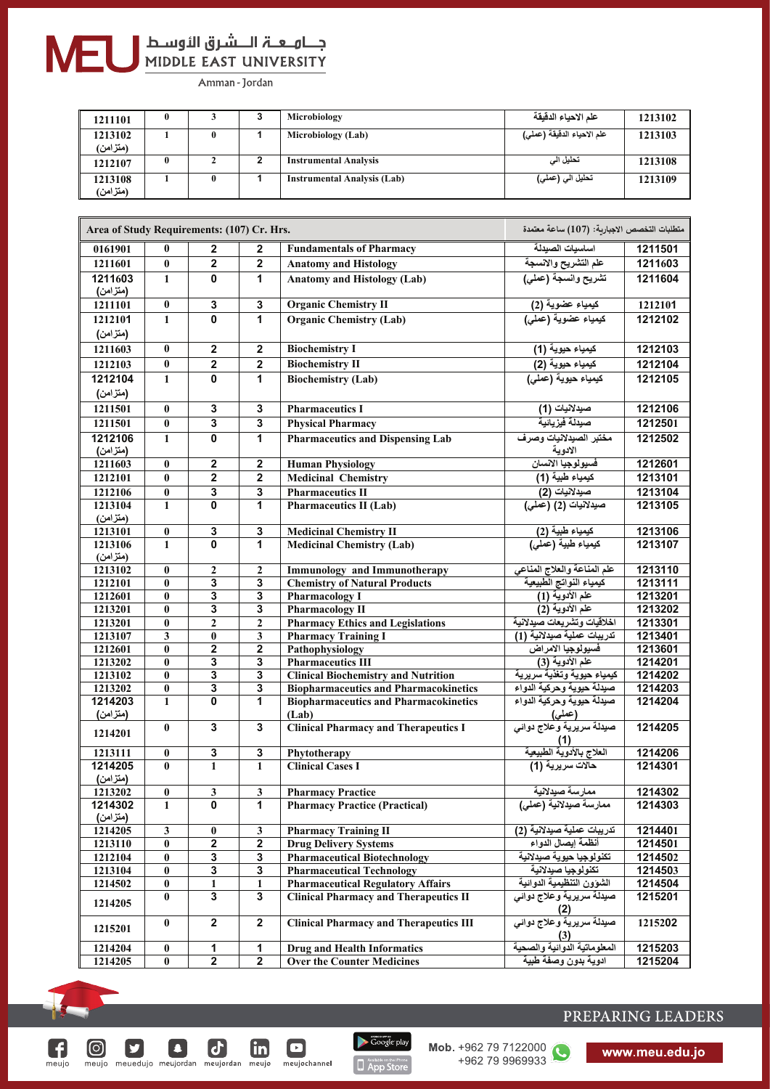# جـــاهــعـــة الــــشـرق الأوســط<br>MIDDLE EAST UNIVERSITY

Amman - Jordan

| 1211101   |   | Microbiology                       | علم الاحياء الدقيقة | 1213102 |
|-----------|---|------------------------------------|---------------------|---------|
| 1213102   |   | Microbiology (Lab)                 |                     | 1213103 |
| (متزامن)  |   |                                    |                     |         |
| 1212107   | ▵ | <b>Instrumental Analysis</b>       | تحليل الى           | 1213108 |
| 1213108   |   | <b>Instrumental Analysis (Lab)</b> | تحلیل الی (عملی)    | 1213109 |
| (متز امن) |   |                                    |                     |         |

| Area of Study Requirements: (107) Cr. Hrs. |                           |                         |                              |                                                       | متطلبات التخصص الاجبارية: (107) ساعة معتمدة                 |                    |
|--------------------------------------------|---------------------------|-------------------------|------------------------------|-------------------------------------------------------|-------------------------------------------------------------|--------------------|
| 0161901                                    | $\mathbf{0}$              | $\overline{2}$          | $\mathbf{2}$                 | <b>Fundamentals of Pharmacy</b>                       | اساسبات الصبدلة                                             | 1211501            |
| 1211601                                    | $\bf{0}$                  | $\mathbf 2$             | $\overline{2}$               | <b>Anatomy and Histology</b>                          | علم التشريح والانسجة                                        | 1211603            |
| 1211603                                    | $\mathbf{1}$              | 0                       | 1                            | <b>Anatomy and Histology (Lab)</b>                    | تشريح وانسجة (عملي)                                         | 1211604            |
| (متزامن)                                   |                           |                         |                              |                                                       |                                                             |                    |
| 1211101                                    | $\pmb{0}$                 | $\overline{\mathbf{3}}$ | $\overline{\mathbf{3}}$      | <b>Organic Chemistry II</b>                           | كيمياء عضوية (2 <u>)</u><br>كيمياء عضوية (عملي)             | 1212101            |
| 1212101                                    | $\mathbf{1}$              | $\overline{0}$          | 1                            | <b>Organic Chemistry (Lab)</b>                        |                                                             | 1212102            |
| (متزامن)                                   |                           |                         |                              |                                                       |                                                             |                    |
| 1211603                                    | $\mathbf{0}$              | $\mathbf 2$             | $\overline{2}$               | <b>Biochemistry I</b>                                 |                                                             | 1212103            |
| 1212103                                    | $\bf{0}$                  | $\mathbf 2$             | $\mathbf 2$                  | <b>Biochemistry II</b>                                | كيمياء حيوية (1)<br>كيمياء حيوية (2)<br>كيمياء حيوية (عملي) | 1212104            |
| 1212104                                    | $\mathbf{1}$              | $\overline{\mathbf{0}}$ | $\overline{1}$               | <b>Biochemistry (Lab)</b>                             |                                                             | 1212105            |
| (متزامن)                                   |                           |                         |                              |                                                       |                                                             |                    |
| 1211501                                    | $\bf{0}$                  | 3                       | 3                            | <b>Pharmaceutics I</b>                                | صيدلانيات (1)                                               | 1212106            |
| 1211501                                    | $\bf{0}$                  | $\overline{\mathbf{3}}$ | $\overline{\mathbf{3}}$      | <b>Physical Pharmacy</b>                              | صيدلة فيزيائية                                              | 1212501            |
| 1212106                                    | $\mathbf{1}$              | 0                       | $\mathbf{1}$                 | <b>Pharmaceutics and Dispensing Lab</b>               | مختبر الصيدلانيات وصرف                                      | 1212502            |
| (متزامن)                                   |                           |                         |                              |                                                       | الادوية                                                     |                    |
| 1211603                                    | $\bf{0}$                  | $\mathbf 2$             | $\overline{2}$               | <b>Human Physiology</b>                               | فسيولوجيا الانسان                                           | 1212601            |
| 1212101                                    | $\bf{0}$                  | $\overline{\mathbf{2}}$ | $\overline{\mathbf{2}}$      | <b>Medicinal Chemistry</b>                            | كيمياء طبية (1)                                             | 1213101            |
| 1212106                                    | $\bf{0}$                  | 3                       | $\overline{\mathbf{3}}$      | <b>Pharmaceutics II</b>                               | صيدلانيات (2)                                               | 1213104            |
| 1213104                                    | $\mathbf{1}$              | $\mathbf{0}$            | $\overline{1}$               | <b>Pharmaceutics II (Lab)</b>                         | صيدلانيات (2) (عملي)                                        | 1213105            |
| (متزامن)                                   |                           |                         |                              |                                                       |                                                             |                    |
| 1213101                                    | $\pmb{0}$                 | 3                       | $\overline{\mathbf{3}}$      | <b>Medicinal Chemistry II</b>                         | كيمياء طبية (2)<br>كيمياء طبية (عملي)                       | 1213106            |
| 1213106<br>(متزامن)                        | $\mathbf{1}$              | $\bf{0}$                | 1                            | <b>Medicinal Chemistry (Lab)</b>                      |                                                             | 1213107            |
| 1213102                                    | $\bf{0}$                  | $\overline{2}$          | $\mathbf{2}$                 | <b>Immunology</b> and Immunotherapy                   | علم المناعة والعلاج المناعي                                 | 1213110            |
| 1212101                                    | $\pmb{0}$                 | $\overline{\mathbf{3}}$ | $\overline{\mathbf{3}}$      | <b>Chemistry of Natural Products</b>                  | كيمياء النواتج الطبيعية                                     | 1213111            |
| 1212601                                    | $\bf{0}$                  | 3                       | 3                            | <b>Pharmacology I</b>                                 | علم الأدوية (1)                                             | 1213201            |
| 1213201                                    | $\bf{0}$                  | $\overline{\mathbf{3}}$ | $\overline{\mathbf{3}}$      | <b>Pharmacology II</b>                                | علم الأدوية (2)                                             | 1213202            |
| 1213201                                    | $\bf{0}$                  | $\overline{2}$          | $\mathbf{2}$                 | <b>Pharmacy Ethics and Legislations</b>               | اخلاقيات وتشريعات صيدلانية                                  | 1213301            |
| 1213107                                    | $\mathbf{3}$              | $\bf{0}$                | $\overline{\mathbf{3}}$      | <b>Pharmacy Training I</b>                            | تدريبات عملية صيدلانية (1)                                  | 1213401            |
| 1212601                                    | $\bf{0}$                  | $\mathbf 2$             | $\overline{2}$               | Pathophysiology                                       | فسيولوجيا الامراض                                           | 1213601            |
| 1213202                                    | $\bf{0}$                  | 3                       | $\overline{\mathbf{3}}$      | <b>Pharmaceutics III</b>                              | علم الأدوية (3)                                             | 1214201            |
| 1213102                                    | $\overline{\mathbf{0}}$   | $\overline{\mathbf{3}}$ | $\overline{\mathbf{3}}$      | <b>Clinical Biochemistry and Nutrition</b>            | كيمياء حيوية وتغذية سريرية                                  | 1214202            |
| 1213202<br>1214203                         | $\pmb{0}$<br>$\mathbf{1}$ | 3<br>0                  | $\overline{\mathbf{3}}$<br>1 | <b>Biopharmaceutics and Pharmacokinetics</b>          | صيدلة حيوية وحركية الدواء<br>صيدلة حيوية وحركية الدواء      | 1214203<br>1214204 |
| (منزامن)                                   |                           |                         |                              | <b>Biopharmaceutics and Pharmacokinetics</b><br>(Lab) | (عملي)                                                      |                    |
|                                            | $\bf{0}$                  | 3                       | $\overline{\mathbf{3}}$      | <b>Clinical Pharmacy and Therapeutics I</b>           |                                                             | 1214205            |
| 1214201                                    |                           |                         |                              |                                                       | (1)                                                         |                    |
| 1213111                                    | $\pmb{0}$                 | $\overline{\mathbf{3}}$ | $\overline{\mathbf{3}}$      | Phytotherapy                                          | (1)<br>العلاج بالأدوية الطبيعية                             | 1214206            |
| 1214205                                    | $\overline{0}$            | $\mathbf{1}$            | $\mathbf{1}$                 | <b>Clinical Cases I</b>                               | حالات سريرية (1)                                            | 1214301            |
| (متزامن)                                   |                           |                         |                              |                                                       |                                                             |                    |
| 1213202                                    | $\pmb{0}$                 | $\mathbf{3}$            | $\mathbf{3}$                 | <b>Pharmacy Practice</b>                              | ممارسة صيدلانية                                             | 1214302            |
| 1214302                                    | $\mathbf{1}$              | 0                       | 1                            | <b>Pharmacy Practice (Practical)</b>                  | ممارسة صيدلانية (عملى)                                      | 1214303            |
| (متزامن)<br>1214205                        | $\mathbf{3}$              | $\boldsymbol{0}$        | 3                            | <b>Pharmacy Training II</b>                           | تدريبات عملية صيدلانية (2)                                  | 1214401            |
| 1213110                                    | $\pmb{0}$                 | $\overline{\mathbf{2}}$ | $\overline{\mathbf{2}}$      | <b>Drug Delivery Systems</b>                          | أنظمة إيصال الدواء                                          | 1214501            |
| 1212104                                    | $\bf{0}$                  | 3                       | 3                            | <b>Pharmaceutical Biotechnology</b>                   | تكنولوجيا حيوية صيدلانية                                    | 1214502            |
| 1213104                                    | $\pmb{0}$                 | 3                       | $\overline{\mathbf{3}}$      | <b>Pharmaceutical Technology</b>                      | تكنولوجيا صيدلانية                                          | 1214503            |
| 1214502                                    | $\pmb{0}$                 | 1                       | 1                            | <b>Pharmaceutical Regulatory Affairs</b>              | الشوون التنظيمية الدوائية                                   | 1214504            |
| 1214205                                    | $\pmb{0}$                 | $\overline{\mathbf{3}}$ | $\overline{\mathbf{3}}$      | <b>Clinical Pharmacy and Therapeutics II</b>          | <mark>صيدنة سريرية وعلاج د</mark> وان <i>ي</i><br>(2)       | 1215201            |
| 1215201                                    | $\bf{0}$                  | $\overline{2}$          | $\overline{2}$               | <b>Clinical Pharmacy and Therapeutics III</b>         | صيدلة سريرية وعلاج دوان <i>ي</i><br>(3)                     | 1215202            |
| 1214204                                    | $\pmb{0}$                 | 1                       | $\overline{1}$               | <b>Drug and Health Informatics</b>                    | المعلوماتية الدوائية والصحية                                | 1215203            |
| 1214205                                    | $\bf{0}$                  | $\overline{2}$          | $\overline{2}$               | <b>Over the Counter Medicines</b>                     | ادوية بدون وصفة طبية                                        | 1215204            |

Google play

App Store

 $\textcircled{\scriptsize{}}$ 

y

Q

 $m$ eujo

 $\boldsymbol{\sigma}$ 

meujo meuedujo meujordan meujordan meujo meujochannel

 $\boxed{\mathbf{c}}$ 

 $\Box$ 

 $\mathbf{m}$ 

Mob. +962 79 7122000

## PREPARING LEADERS